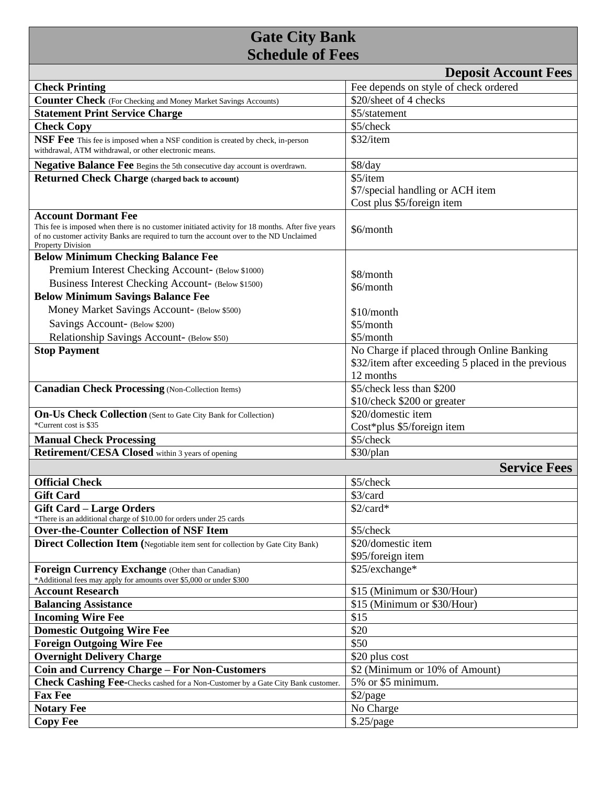## **Gate City Bank Schedule of Fees**

| <b>Deposit Account Fees</b>                                                                                                                                                                                                                           |                                                                                                               |
|-------------------------------------------------------------------------------------------------------------------------------------------------------------------------------------------------------------------------------------------------------|---------------------------------------------------------------------------------------------------------------|
| <b>Check Printing</b>                                                                                                                                                                                                                                 | Fee depends on style of check ordered                                                                         |
| <b>Counter Check</b> (For Checking and Money Market Savings Accounts)                                                                                                                                                                                 | \$20/sheet of 4 checks                                                                                        |
| <b>Statement Print Service Charge</b>                                                                                                                                                                                                                 | \$5/statement                                                                                                 |
| <b>Check Copy</b>                                                                                                                                                                                                                                     | \$5/check                                                                                                     |
| NSF Fee This fee is imposed when a NSF condition is created by check, in-person<br>withdrawal, ATM withdrawal, or other electronic means.                                                                                                             | \$32/item                                                                                                     |
| <b>Negative Balance Fee</b> Begins the 5th consecutive day account is overdrawn.                                                                                                                                                                      | \$8/day                                                                                                       |
| <b>Returned Check Charge (charged back to account)</b>                                                                                                                                                                                                | \$5/item<br>\$7/special handling or ACH item<br>Cost plus \$5/foreign item                                    |
| <b>Account Dormant Fee</b><br>This fee is imposed when there is no customer initiated activity for 18 months. After five years<br>of no customer activity Banks are required to turn the account over to the ND Unclaimed<br><b>Property Division</b> | \$6/month                                                                                                     |
| <b>Below Minimum Checking Balance Fee</b>                                                                                                                                                                                                             |                                                                                                               |
| Premium Interest Checking Account- (Below \$1000)                                                                                                                                                                                                     | \$8/month                                                                                                     |
| Business Interest Checking Account- (Below \$1500)                                                                                                                                                                                                    | \$6/month                                                                                                     |
| <b>Below Minimum Savings Balance Fee</b>                                                                                                                                                                                                              |                                                                                                               |
| Money Market Savings Account- (Below \$500)                                                                                                                                                                                                           | $$10/m$ onth                                                                                                  |
| Savings Account- (Below \$200)                                                                                                                                                                                                                        | \$5/month                                                                                                     |
| Relationship Savings Account- (Below \$50)                                                                                                                                                                                                            | \$5/month                                                                                                     |
| <b>Stop Payment</b>                                                                                                                                                                                                                                   | No Charge if placed through Online Banking<br>\$32/item after exceeding 5 placed in the previous<br>12 months |
| <b>Canadian Check Processing (Non-Collection Items)</b>                                                                                                                                                                                               | \$5/check less than \$200                                                                                     |
|                                                                                                                                                                                                                                                       | \$10/check \$200 or greater                                                                                   |
| On-Us Check Collection (Sent to Gate City Bank for Collection)                                                                                                                                                                                        | \$20/domestic item                                                                                            |
| *Current cost is \$35                                                                                                                                                                                                                                 | Cost*plus \$5/foreign item                                                                                    |
| <b>Manual Check Processing</b>                                                                                                                                                                                                                        | \$5/check                                                                                                     |
| <b>Retirement/CESA Closed</b> within 3 years of opening                                                                                                                                                                                               | \$30/plan                                                                                                     |
|                                                                                                                                                                                                                                                       | <b>Service Fees</b>                                                                                           |
| <b>Official Check</b>                                                                                                                                                                                                                                 | \$5/check                                                                                                     |
| <b>Gift Card</b>                                                                                                                                                                                                                                      | \$3/card                                                                                                      |
| <b>Gift Card - Large Orders</b>                                                                                                                                                                                                                       | \$2/card*                                                                                                     |
| *There is an additional charge of \$10.00 for orders under 25 cards                                                                                                                                                                                   |                                                                                                               |
| <b>Over-the-Counter Collection of NSF Item</b>                                                                                                                                                                                                        | \$5/check                                                                                                     |
| Direct Collection Item (Negotiable item sent for collection by Gate City Bank)                                                                                                                                                                        | \$20/domestic item                                                                                            |
| Foreign Currency Exchange (Other than Canadian)<br>*Additional fees may apply for amounts over \$5,000 or under \$300                                                                                                                                 | \$95/foreign item<br>\$25/exchange*                                                                           |
| <b>Account Research</b>                                                                                                                                                                                                                               | \$15 (Minimum or \$30/Hour)                                                                                   |
| <b>Balancing Assistance</b>                                                                                                                                                                                                                           | \$15 (Minimum or \$30/Hour)                                                                                   |
| <b>Incoming Wire Fee</b>                                                                                                                                                                                                                              | \$15                                                                                                          |
| <b>Domestic Outgoing Wire Fee</b>                                                                                                                                                                                                                     | \$20                                                                                                          |
| <b>Foreign Outgoing Wire Fee</b>                                                                                                                                                                                                                      | \$50                                                                                                          |
| <b>Overnight Delivery Charge</b>                                                                                                                                                                                                                      | \$20 plus cost                                                                                                |
| <b>Coin and Currency Charge - For Non-Customers</b>                                                                                                                                                                                                   | \$2 (Minimum or 10% of Amount)                                                                                |
| <b>Check Cashing Fee-</b> Checks cashed for a Non-Customer by a Gate City Bank customer.                                                                                                                                                              | 5% or \$5 minimum.                                                                                            |
| <b>Fax Fee</b>                                                                                                                                                                                                                                        | \$2/page                                                                                                      |
| <b>Notary Fee</b>                                                                                                                                                                                                                                     | No Charge                                                                                                     |
| <b>Copy Fee</b>                                                                                                                                                                                                                                       | \$.25/page                                                                                                    |